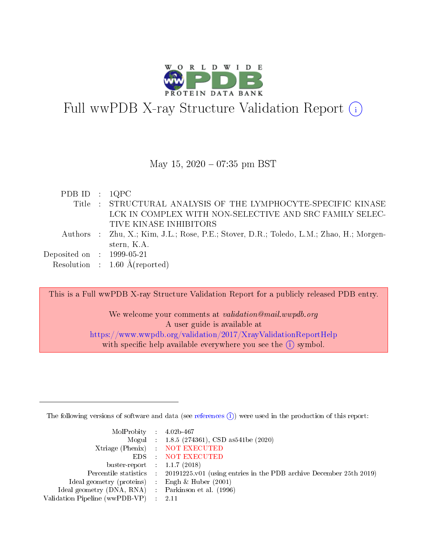

# Full wwPDB X-ray Structure Validation Report (i)

#### May 15,  $2020 - 07:35$  pm BST

| PDB ID : $1QPC$                      |                                                                                         |
|--------------------------------------|-----------------------------------------------------------------------------------------|
|                                      | Title : STRUCTURAL ANALYSIS OF THE LYMPHOCYTE-SPECIFIC KINASE                           |
|                                      | LCK IN COMPLEX WITH NON-SELECTIVE AND SRC FAMILY SELEC-                                 |
|                                      | TIVE KINASE INHIBITORS                                                                  |
|                                      | Authors : Zhu, X.; Kim, J.L.; Rose, P.E.; Stover, D.R.; Toledo, L.M.; Zhao, H.; Morgen- |
|                                      | stern, K.A.                                                                             |
| Deposited on $\therefore$ 1999-05-21 |                                                                                         |
|                                      | Resolution : $1.60 \text{ Å}$ (reported)                                                |

This is a Full wwPDB X-ray Structure Validation Report for a publicly released PDB entry.

We welcome your comments at *validation@mail.wwpdb.org* A user guide is available at <https://www.wwpdb.org/validation/2017/XrayValidationReportHelp> with specific help available everywhere you see the  $(i)$  symbol.

The following versions of software and data (see [references](https://www.wwpdb.org/validation/2017/XrayValidationReportHelp#references)  $(i)$ ) were used in the production of this report:

| $MolProbability$ 4.02b-467                          |                                                                                            |
|-----------------------------------------------------|--------------------------------------------------------------------------------------------|
|                                                     | Mogul : 1.8.5 (274361), CSD as 541be (2020)                                                |
|                                                     | Xtriage (Phenix) NOT EXECUTED                                                              |
|                                                     | EDS : NOT EXECUTED                                                                         |
| buster-report : $1.1.7(2018)$                       |                                                                                            |
|                                                     | Percentile statistics : 20191225.v01 (using entries in the PDB archive December 25th 2019) |
| Ideal geometry (proteins) : Engh $\&$ Huber (2001)  |                                                                                            |
| Ideal geometry (DNA, RNA) : Parkinson et al. (1996) |                                                                                            |
| Validation Pipeline (wwPDB-VP)                      | -2.11                                                                                      |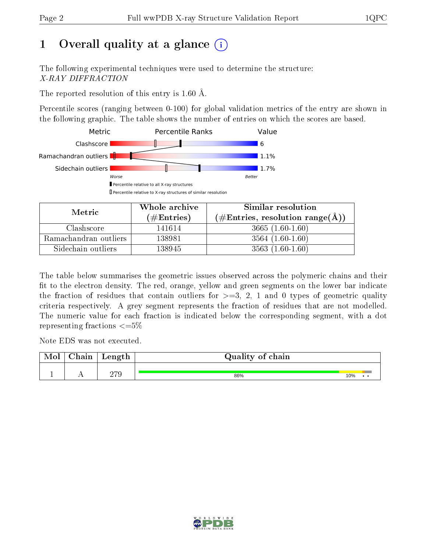# 1 [O](https://www.wwpdb.org/validation/2017/XrayValidationReportHelp#overall_quality)verall quality at a glance  $(i)$

The following experimental techniques were used to determine the structure: X-RAY DIFFRACTION

The reported resolution of this entry is 1.60 Å.

Percentile scores (ranging between 0-100) for global validation metrics of the entry are shown in the following graphic. The table shows the number of entries on which the scores are based.



| Metric                | Whole archive       | Similar resolution                                        |
|-----------------------|---------------------|-----------------------------------------------------------|
|                       | (# $\rm{Entries}$ ) | $(\#\text{Entries}, \text{resolution range}(\text{\AA}))$ |
| Clashscore            | 141614              | $3665(1.60-1.60)$                                         |
| Ramachandran outliers | 138981              | $3564(1.60-1.60)$                                         |
| Sidechain outliers    | 138945              | $3563(1.60-1.60)$                                         |

The table below summarises the geometric issues observed across the polymeric chains and their fit to the electron density. The red, orange, yellow and green segments on the lower bar indicate the fraction of residues that contain outliers for  $\geq=3$ , 2, 1 and 0 types of geometric quality criteria respectively. A grey segment represents the fraction of residues that are not modelled. The numeric value for each fraction is indicated below the corresponding segment, with a dot representing fractions  $\leq=5\%$ 

Note EDS was not executed.

| Mol | $\cap$ hain | Length     | Quality of chain |     |
|-----|-------------|------------|------------------|-----|
|     | . .         | 970<br>213 | 86%              | 10% |

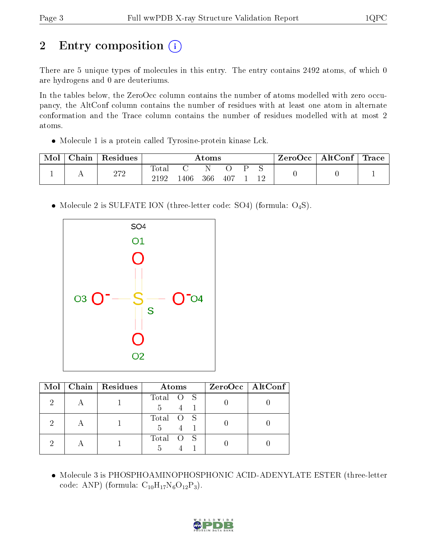# 2 Entry composition (i)

There are 5 unique types of molecules in this entry. The entry contains 2492 atoms, of which 0 are hydrogens and 0 are deuteriums.

In the tables below, the ZeroOcc column contains the number of atoms modelled with zero occupancy, the AltConf column contains the number of residues with at least one atom in alternate conformation and the Trace column contains the number of residues modelled with at most 2 atoms.

Molecule 1 is a protein called Tyrosine-protein kinase Lck.

| Mol | $\cap$ hain | Residues     | Atoms                      |      |     |              | ZeroOcc | $\mid$ AltConf $\mid$ Trace $\mid$ |  |  |  |
|-----|-------------|--------------|----------------------------|------|-----|--------------|---------|------------------------------------|--|--|--|
|     | . .         | n 70<br>ے ات | $\text{Total}$<br>$2192\,$ | 1406 | 366 | $-40\degree$ |         |                                    |  |  |  |

• Molecule 2 is SULFATE ION (three-letter code: SO4) (formula: O<sub>4</sub>S).



|  | Mol   Chain   Residues | Atoms          | $ZeroOcc$   AltConf |
|--|------------------------|----------------|---------------------|
|  |                        | Total O S<br>5 |                     |
|  |                        | Total O S<br>5 |                     |
|  |                        | Total O S      |                     |

 Molecule 3 is PHOSPHOAMINOPHOSPHONIC ACID-ADENYLATE ESTER (three-letter code: ANP) (formula:  $C_{10}H_{17}N_6O_{12}P_3$ ).

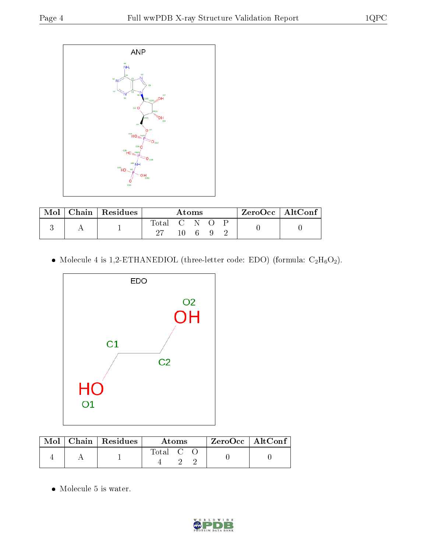

| Mol | $\vert$ Chain $\vert$ Residues | Atoms         |  |      |  | $ZeroOcc \mid AltConf \mid$ |  |
|-----|--------------------------------|---------------|--|------|--|-----------------------------|--|
|     |                                | Total C N O P |  |      |  |                             |  |
|     |                                |               |  | 1069 |  |                             |  |

 $\bullet$  Molecule 4 is 1,2-ETHANEDIOL (three-letter code: EDO) (formula:  $\rm{C_2H_6O_2}).$ 



|  | $\text{Mol}$   Chain   Residues | Atoms     |  |  | $\rm ZeroOcc \mid AltConf$ |  |
|--|---------------------------------|-----------|--|--|----------------------------|--|
|  |                                 | Total C C |  |  |                            |  |

• Molecule 5 is water.

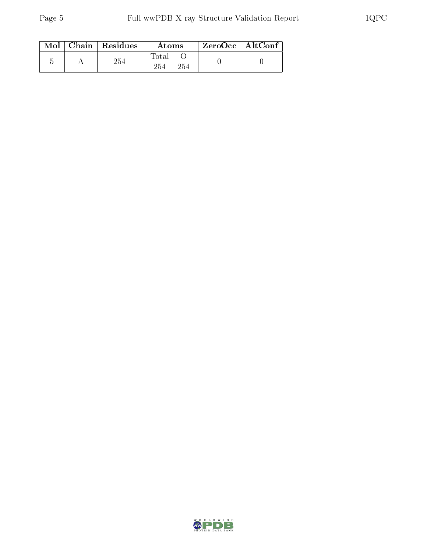|  | $Mol$   Chain   Residues | Atoms               | $ZeroOcc \mid AltConf$ |  |
|--|--------------------------|---------------------|------------------------|--|
|  | 254                      | Total<br>254<br>254 |                        |  |

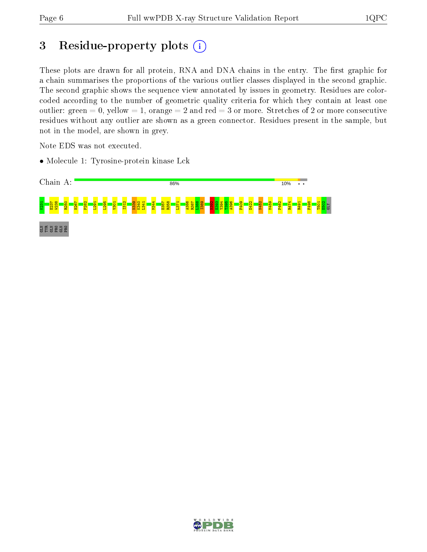## 3 Residue-property plots (i)

These plots are drawn for all protein, RNA and DNA chains in the entry. The first graphic for a chain summarises the proportions of the various outlier classes displayed in the second graphic. The second graphic shows the sequence view annotated by issues in geometry. Residues are colorcoded according to the number of geometric quality criteria for which they contain at least one outlier: green  $= 0$ , yellow  $= 1$ , orange  $= 2$  and red  $= 3$  or more. Stretches of 2 or more consecutive residues without any outlier are shown as a green connector. Residues present in the sample, but not in the model, are shown in grey.

Note EDS was not executed.

• Molecule 1: Tyrosine-protein kinase Lck



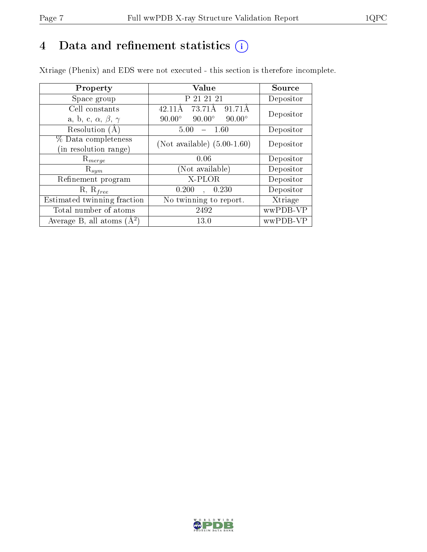# 4 Data and refinement statistics  $(i)$

Xtriage (Phenix) and EDS were not executed - this section is therefore incomplete.

| Property                               | Value                                           | Source    |  |
|----------------------------------------|-------------------------------------------------|-----------|--|
| Space group                            | P 21 21 21                                      | Depositor |  |
| Cell constants                         | 73.71Å<br>91.71Å<br>42.11Å                      | Depositor |  |
| a, b, c, $\alpha$ , $\beta$ , $\gamma$ | $90.00^\circ$<br>$90.00^\circ$<br>$90.00^\circ$ |           |  |
| Resolution $(A)$                       | 1.60<br>5.00                                    | Depositor |  |
| % Data completeness                    | (Not available) $(5.00-1.60)$                   | Depositor |  |
| (in resolution range)                  |                                                 |           |  |
| $R_{merge}$                            | 0.06                                            | Depositor |  |
| $\mathrm{R}_{sym}$                     | (Not available)                                 | Depositor |  |
| Refinement program                     | X-PLOR                                          | Depositor |  |
| $R, R_{free}$                          | 0.200<br>0.230<br>$\mathcal{L}$                 | Depositor |  |
| Estimated twinning fraction            | No twinning to report.                          | Xtriage   |  |
| Total number of atoms                  | 2492                                            | wwPDB-VP  |  |
| Average B, all atoms $(A^2)$           | 13.0                                            | wwPDB-VP  |  |

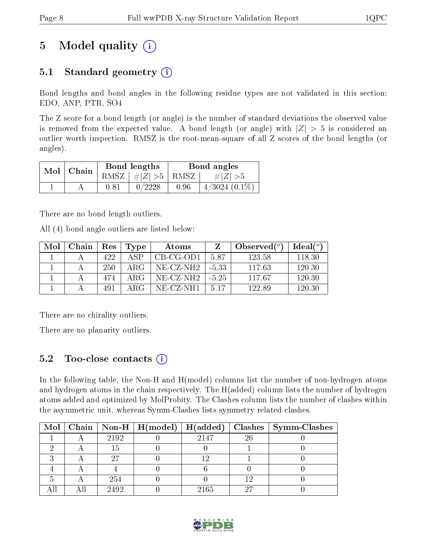# 5 Model quality  $(i)$

### 5.1 Standard geometry  $(i)$

Bond lengths and bond angles in the following residue types are not validated in this section: EDO, ANP, PTR, SO4

The Z score for a bond length (or angle) is the number of standard deviations the observed value is removed from the expected value. A bond length (or angle) with  $|Z| > 5$  is considered an outlier worth inspection. RMSZ is the root-mean-square of all Z scores of the bond lengths (or angles).

| $Mol$   Chain |      | Bond lengths                   | Bond angles |                    |  |
|---------------|------|--------------------------------|-------------|--------------------|--|
|               |      | RMSZ $\mid \#Z \mid >5$   RMSZ |             | $\# Z  > 5$        |  |
|               | 0.81 | 0/2228                         | 0.96        | $4/3024$ $(0.1\%)$ |  |

There are no bond length outliers.

All (4) bond angle outliers are listed below:

| Mol | Chain | Res | Type         | Atoms     |         | Observed $(°)$ | $Ideal(^o)$ |
|-----|-------|-----|--------------|-----------|---------|----------------|-------------|
|     |       | 422 | $\Delta$ SP  | CB-CG-OD1 | 587     | 123.58         | 118.30      |
|     |       | 250 | ARG          | NE-CZ-NH2 | $-5.33$ | 117.63         | 120.30      |
|     |       | 474 | $\rm{ARG}$ . | NE-CZ-NH2 | $-5.25$ | 117.67         | 120.30      |
|     |       | 491 | ARG          | NE-CZ-NH1 | 5.17    | 122.89         | 120.30      |

There are no chirality outliers.

There are no planarity outliers.

### 5.2 Too-close contacts  $\overline{a}$

In the following table, the Non-H and H(model) columns list the number of non-hydrogen atoms and hydrogen atoms in the chain respectively. The H(added) column lists the number of hydrogen atoms added and optimized by MolProbity. The Clashes column lists the number of clashes within the asymmetric unit, whereas Symm-Clashes lists symmetry related clashes.

|  |      |      |    | Mol   Chain   Non-H   H(model)   H(added)   Clashes   Symm-Clashes |
|--|------|------|----|--------------------------------------------------------------------|
|  | 2192 | 2147 | 26 |                                                                    |
|  | Тb   |      |    |                                                                    |
|  |      |      |    |                                                                    |
|  |      |      |    |                                                                    |
|  | 254  |      |    |                                                                    |
|  | 2492 | 2165 | າາ |                                                                    |

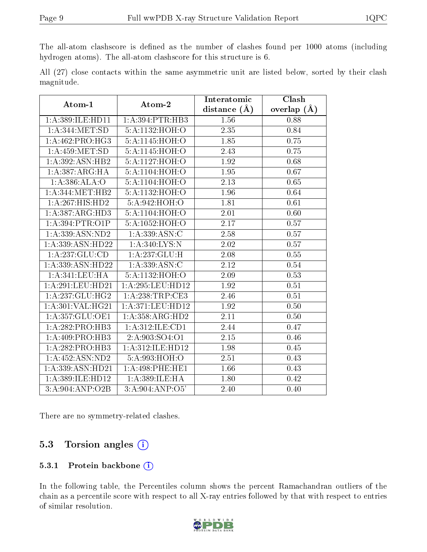The all-atom clashscore is defined as the number of clashes found per 1000 atoms (including hydrogen atoms). The all-atom clashscore for this structure is 6.

|            |  |  | All (27) close contacts within the same asymmetric unit are listed below, sorted by their clash |  |  |  |  |
|------------|--|--|-------------------------------------------------------------------------------------------------|--|--|--|--|
| magnitude. |  |  |                                                                                                 |  |  |  |  |

| Atom-1                          | Atom-2             | Interatomic      | Clash         |  |
|---------------------------------|--------------------|------------------|---------------|--|
|                                 |                    | distance $(\AA)$ | overlap $(A)$ |  |
| 1:A:389:ILE:HD11                | 1: A:394:PTR:HB3   | 1.56             | 0.88          |  |
| 1: A:344:MET:SD                 | 5:A:1132:HOH:O     | 2.35             | 0.84          |  |
| 1:A:462:PRO:HG3                 | 5:A:1145:HOH:O     | 1.85             | 0.75          |  |
| 1: A:459:MET:SD                 | 5:A:1145:HOH:O     | 2.43             | 0.75          |  |
| 1:A:392:ASN:HB2                 | 5:A:1127:HOH:O     | 1.92             | 0.68          |  |
| 1:A:387:ARG:HA                  | 5:A:1104:HOH:O     | 1.95             | 0.67          |  |
| 1:A:386:ALA:O                   | 5:A:1104:HOH:O     | 2.13             | 0.65          |  |
| 1: A: 344: MET: HB2             | 5:A:1132:HOH:O     | 1.96             | 0.64          |  |
| $1:A:267:HIS:H\overline{D2}$    | 5: A:942: HOH:O    | 1.81             | 0.61          |  |
| 1:A:387:ARG:HD3                 | 5:A:1104:HOH:O     | 2.01             | 0.60          |  |
| 1: A:394:PTR:O1P                | 5:A:1052:HOH:O     | 2.17             | 0.57          |  |
| 1:A:339:ASN:ND2                 | 1:A:339:ASN:C      | 2.58             | 0.57          |  |
| 1:A:339:ASN:HD22                | 1:A:340:LYS:N      | 2.02             | 0.57          |  |
| 1:A:237:GLU:CD                  | 1:A:237:GLU:H      | 2.08             | 0.55          |  |
| 1:A:339:ASN:HD22                | 1:A:339:ASN:C      | 2.12             | 0.54          |  |
| 1:A:341:LEU:HA                  | 5:A:1132:HOH:O     | 2.09             | 0.53          |  |
| 1:A:291:LEU:HD21                | 1:A:295:LEU:HD12   | 1.92             | 0.51          |  |
| 1:A:237:GLU:HG2                 | 1:A:238:TRP:CE3    | 2.46             | 0.51          |  |
| 1:A:301:VAL:HG21                | 1:A:371:LEU:HD12   | 1.92             | 0.50          |  |
| 1: A: 357: GLU: OE1             | 1:A:358:ARG:HD2    | 2.11             | 0.50          |  |
| 1:A:282:PRO:HB3                 | 1:A:312:ILE:CD1    | 2.44             | 0.47          |  |
| 1:A:409:PRO:HB3                 | 2:A:903:SO4:O1     | 2.15             | 0.46          |  |
| 1:A:282:PRO:HB3                 | 1:A:312:ILE:HD12   | 1.98             | 0.45          |  |
| 1: A: 452: ASN: ND2             | 5:A:993:HOH:O      | 2.51             | 0.43          |  |
| 1:A:339:ASN:HD21                | 1:A:498:PHE:HE1    | 1.66             | 0.43          |  |
| 1:A:389:ILE:HD12                | 1:A:389:ILE:HA     | 1.80             | 0.42          |  |
| $3: A:904: AND: \overline{O2B}$ | 3: A:904: AND: O5' | 2.40             | 0.40          |  |

There are no symmetry-related clashes.

#### 5.3 Torsion angles (i)

#### 5.3.1 Protein backbone (i)

In the following table, the Percentiles column shows the percent Ramachandran outliers of the chain as a percentile score with respect to all X-ray entries followed by that with respect to entries of similar resolution.

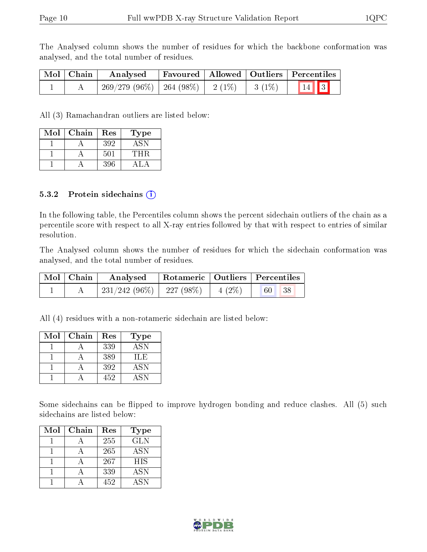The Analysed column shows the number of residues for which the backbone conformation was analysed, and the total number of residues.

| Mol   Chain | Analysed                                        |  | Favoured   Allowed   Outliers   Percentiles |
|-------------|-------------------------------------------------|--|---------------------------------------------|
|             | $269/279$ (96\%)   264 (98\%)   2(1\%)   3(1\%) |  | $\vert 14 \vert \vert 3 \vert$              |

All (3) Ramachandran outliers are listed below:

| Mol | Chain | Res     | Type |
|-----|-------|---------|------|
|     |       | 392     | A SN |
|     |       | $501\,$ | 'THR |
|     |       | 396     |      |

#### 5.3.2 Protein sidechains  $(i)$

In the following table, the Percentiles column shows the percent sidechain outliers of the chain as a percentile score with respect to all X-ray entries followed by that with respect to entries of similar resolution.

The Analysed column shows the number of residues for which the sidechain conformation was analysed, and the total number of residues.

| Mol   Chain | Analysed                                | Rotameric   Outliers   Percentiles |          |  |
|-------------|-----------------------------------------|------------------------------------|----------|--|
|             | $231/242$ (96\%)   227 (98\%)   4 (2\%) |                                    | 60<br>38 |  |

All (4) residues with a non-rotameric sidechain are listed below:

| Mol | Chain | Res | Type       |
|-----|-------|-----|------------|
|     |       | 339 | <b>ASN</b> |
|     |       | 389 | TLE.       |
|     |       | 392 | <b>ASN</b> |
|     |       | 452 | <b>ASN</b> |

Some sidechains can be flipped to improve hydrogen bonding and reduce clashes. All (5) such sidechains are listed below:

| Mol | Chain | Res | Type       |
|-----|-------|-----|------------|
|     |       | 255 | GLN        |
|     |       | 265 | <b>ASN</b> |
|     |       | 267 | <b>HIS</b> |
|     |       | 339 | <b>ASN</b> |
|     |       | 452 | A SN       |

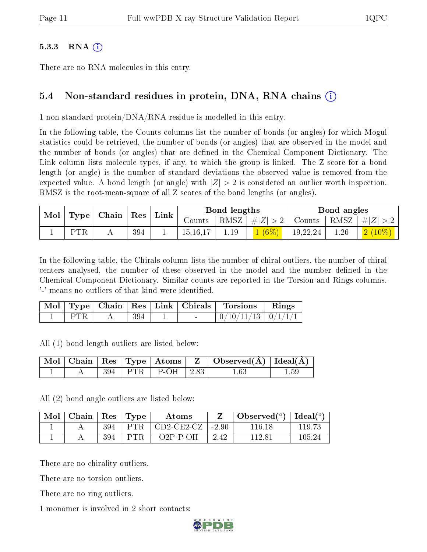#### $5.3.3$  RNA  $(i)$

There are no RNA molecules in this entry.

#### 5.4 Non-standard residues in protein, DNA, RNA chains (i)

1 non-standard protein/DNA/RNA residue is modelled in this entry.

In the following table, the Counts columns list the number of bonds (or angles) for which Mogul statistics could be retrieved, the number of bonds (or angles) that are observed in the model and the number of bonds (or angles) that are defined in the Chemical Component Dictionary. The Link column lists molecule types, if any, to which the group is linked. The Z score for a bond length (or angle) is the number of standard deviations the observed value is removed from the expected value. A bond length (or angle) with  $|Z| > 2$  is considered an outlier worth inspection. RMSZ is the root-mean-square of all Z scores of the bond lengths (or angles).

|  | $\mid$ Mol $\mid$ Type $\mid$ Chain $\mid$ Res $\mid$ Link $\mid$ |     |            | Bond lengths |          |          | Bond angles |                                                                              |
|--|-------------------------------------------------------------------|-----|------------|--------------|----------|----------|-------------|------------------------------------------------------------------------------|
|  |                                                                   |     | Counts     |              |          |          |             | $\mid$ RMSZ $\mid \#  Z  > 2 \mid$ Counts $\mid$ RMSZ $\mid \#  Z  > 2 \mid$ |
|  | <b>PTR</b>                                                        | 394 | 15, 16, 17 |              | $1(6\%)$ | 19,22,24 | 1.26        | $\mid$ $\mid$ $2\ (10\%) \mid$                                               |

In the following table, the Chirals column lists the number of chiral outliers, the number of chiral centers analysed, the number of these observed in the model and the number defined in the Chemical Component Dictionary. Similar counts are reported in the Torsion and Rings columns. '-' means no outliers of that kind were identified.

|  |     | Mol   Type   Chain   Res   Link   Chirals | <b>Torsions</b>          | $\parallel$ Rings |
|--|-----|-------------------------------------------|--------------------------|-------------------|
|  | 394 | $\sim$                                    | $0/10/11/13$   $0/1/1/1$ |                   |

All (1) bond length outliers are listed below:

|  |  |                           | $\mid$ Mol $\mid$ Chain $\mid$ Res $\mid$ Type $\mid$ Atoms $\mid$ Z $\mid$ Observed(Å) $\mid$ Ideal(Å) |      |
|--|--|---------------------------|---------------------------------------------------------------------------------------------------------|------|
|  |  | $394$   PTR   P-OH   2.83 | 1.63                                                                                                    | 1.59 |

All (2) bond angle outliers are listed below:

| Mol | Chain | $^{\circ}$ Res | $\lq$ Type | Atoms              |         | Observed $(°)$ | $\Box$ Ideal( <sup><math>o</math>)</sup> |
|-----|-------|----------------|------------|--------------------|---------|----------------|------------------------------------------|
|     |       | 394            | <b>PTR</b> | $CD2-CE2- CZ$      | $-2.90$ | 116 18         | 119.73                                   |
|     |       | 394            | PTR        | $O2P$ - $P$ - $OH$ | 2.42    | 1128.          | 105.24                                   |

There are no chirality outliers.

There are no torsion outliers.

There are no ring outliers.

1 monomer is involved in 2 short contacts:

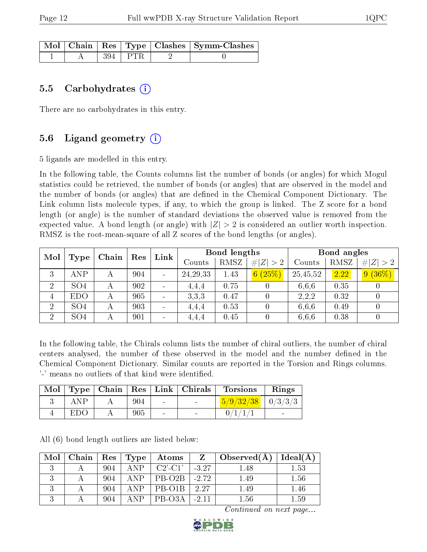|  |           | Mol   Chain   Res   Type   Clashes   Symm-Clashes |
|--|-----------|---------------------------------------------------|
|  | 394   PTR |                                                   |

#### 5.5 Carbohydrates  $(i)$

There are no carbohydrates in this entry.

### 5.6 Ligand geometry  $(i)$

5 ligands are modelled in this entry.

In the following table, the Counts columns list the number of bonds (or angles) for which Mogul statistics could be retrieved, the number of bonds (or angles) that are observed in the model and the number of bonds (or angles) that are defined in the Chemical Component Dictionary. The Link column lists molecule types, if any, to which the group is linked. The Z score for a bond length (or angle) is the number of standard deviations the observed value is removed from the expected value. A bond length (or angle) with  $|Z| > 2$  is considered an outlier worth inspection. RMSZ is the root-mean-square of all Z scores of the bond lengths (or angles).

| Mol            | Chain           |   | Res | Link |            | Bond lengths |             | Bond angles |      |                 |
|----------------|-----------------|---|-----|------|------------|--------------|-------------|-------------|------|-----------------|
|                | Type            |   |     |      | Counts     | RMSZ         | # $ Z  > 2$ | Counts      | RMSZ | $ Z >2$  <br>#I |
| 3              | ANP             | А | 904 |      | 24, 29, 33 | 1.43         | 6(25%)      | 25,45,52    | 2.22 | 9(36%)          |
| $\overline{2}$ | SO <sub>4</sub> |   | 902 |      | 4.4.4      | 0.75         |             | 6,6,6       | 0.35 |                 |
| 4              | <b>EDO</b>      |   | 905 |      | 3.3.3      | 0.47         |             | 2,2,2       | 0.32 |                 |
| $\overline{2}$ | SO <sub>4</sub> |   | 903 |      | 4.4.4      | 0.53         |             | 6.6.6       | 0.49 |                 |
| $\overline{2}$ | SO <sub>4</sub> |   | 901 |      | 4,4,4      | 0.45         |             | 6,6,6       | 0.38 |                 |

In the following table, the Chirals column lists the number of chiral outliers, the number of chiral centers analysed, the number of these observed in the model and the number defined in the Chemical Component Dictionary. Similar counts are reported in the Torsion and Rings columns. '-' means no outliers of that kind were identified.

|     |     |                          | Mol   Type   Chain   Res   Link   Chirals | <b>Torsions</b>                                | Rings |
|-----|-----|--------------------------|-------------------------------------------|------------------------------------------------|-------|
| ANP | 904 | <b>Contract Contract</b> |                                           | $\frac{5}{9} \cdot \frac{32}{38} \mid 0/3/3/3$ |       |
| EDO | 905 |                          |                                           | 0/1/1/1                                        |       |

All (6) bond length outliers are listed below:

| Mol | Chain   Res   Type |     |            | $\boldsymbol{\mathrm{Atoms}}$ | $\mathbf{Z}$ | $\vert$ Observed(A) | Ideal(A) |
|-----|--------------------|-----|------------|-------------------------------|--------------|---------------------|----------|
|     |                    | 904 | <b>ANP</b> | $C2'$ -C1'                    | $-3.27$      | 1.48                | 1.53     |
|     |                    | 904 | <b>ANP</b> | PB-O <sub>2</sub> B           | $-2.72$      | 1.49                | 1.56     |
|     |                    | 904 | A N P      | PB-O1B                        | 2.27         | 1.49                | 1.46     |
|     |                    | 904 | A N P      | PB-O3A                        | $-2.11$      | 1.56                | 1.59     |

Continued on next page...

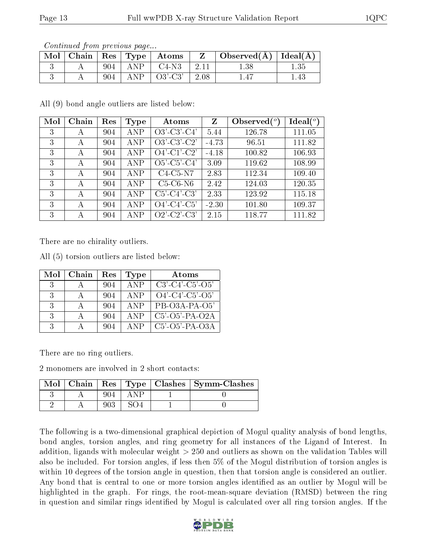| Contentable from provided page |     |             |                                  |      |                                            |      |  |  |  |
|--------------------------------|-----|-------------|----------------------------------|------|--------------------------------------------|------|--|--|--|
|                                |     |             | Mol   Chain   Res   Type   Atoms |      | $\perp$ Observed( $\AA$ )   Ideal( $\AA$ ) |      |  |  |  |
|                                |     | $904$   ANP | C4-N3                            | 2.11 | $1.38\,$                                   |      |  |  |  |
|                                | 904 |             | $\Delta NP$   03'-C3'            | 2.08 | 1.47                                       | 1.43 |  |  |  |

Continued from previous page...

All (9) bond angle outliers are listed below:

| Mol | Chain | Res | Type       | Atoms          | $\mathbf{Z}$ | Observed $\binom{o}{c}$ | $Ideal(^o)$ |
|-----|-------|-----|------------|----------------|--------------|-------------------------|-------------|
| 3   | A     | 904 | <b>ANP</b> | $O3'$ -C3'-C4' | 5.44         | 126.78                  | 111.05      |
| 3   | А     | 904 | ANP        | $O3'-C3'-C2'$  | $-4.73$      | 96.51                   | 111.82      |
| 3   | А     | 904 | ANP        | $O4'$ -C1'-C2' | $-4.18$      | 100.82                  | 106.93      |
| 3   | А     | 904 | ANP        | $O5'$ -C5'-C4' | 3.09         | 119.62                  | 108.99      |
| 3   | А     | 904 | ANP        | $C4-C5-N7$     | 2.83         | 112.34                  | 109.40      |
| 3   | А     | 904 | ANP        | $C5-C6-N6$     | 2.42         | 124.03                  | 120.35      |
| 3   | A     | 904 | ANP        | $C5'-C4'-C3'$  | 2.33         | 123.92                  | 115.18      |
| 3   | А     | 904 | <b>ANP</b> | $O4'-C4'-C5'$  | $-2.30$      | 101.80                  | 109.37      |
| 3   | А     | 904 | ANP        | $O2'$ -C2'-C3' | 2.15         | 118.77                  | 111.82      |

There are no chirality outliers.

All (5) torsion outliers are listed below:

| Mol           | Chain | Res | Type       | Atoms                    |
|---------------|-------|-----|------------|--------------------------|
| -3            |       | 904 | ANP        | $C3'-C4'-C5'-O5'$        |
| -3-           |       | 904 | <b>ANP</b> | $O4'$ -C4'-C5'-O5'       |
| 3             |       | 904 | <b>ANP</b> | PB-O3A-PA-O5'            |
| $\mathcal{R}$ |       | 904 | <b>ANP</b> | $C5'$ - $O5'$ -PA- $O2A$ |
| $\mathbf{R}$  |       | 904 | ANP        | $C5'-O5'-PA-O3A$         |

There are no ring outliers.

2 monomers are involved in 2 short contacts:

| $Mol$   Chain |  | Res   Type   Clashes   Symm-Clashes |
|---------------|--|-------------------------------------|
|               |  |                                     |
|               |  |                                     |

The following is a two-dimensional graphical depiction of Mogul quality analysis of bond lengths, bond angles, torsion angles, and ring geometry for all instances of the Ligand of Interest. In addition, ligands with molecular weight > 250 and outliers as shown on the validation Tables will also be included. For torsion angles, if less then 5% of the Mogul distribution of torsion angles is within 10 degrees of the torsion angle in question, then that torsion angle is considered an outlier. Any bond that is central to one or more torsion angles identified as an outlier by Mogul will be highlighted in the graph. For rings, the root-mean-square deviation (RMSD) between the ring in question and similar rings identified by Mogul is calculated over all ring torsion angles. If the

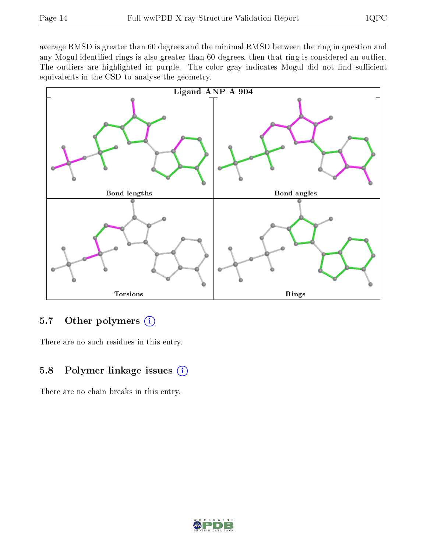average RMSD is greater than 60 degrees and the minimal RMSD between the ring in question and any Mogul-identified rings is also greater than 60 degrees, then that ring is considered an outlier. The outliers are highlighted in purple. The color gray indicates Mogul did not find sufficient equivalents in the CSD to analyse the geometry.



### 5.7 [O](https://www.wwpdb.org/validation/2017/XrayValidationReportHelp#nonstandard_residues_and_ligands)ther polymers  $(i)$

There are no such residues in this entry.

#### 5.8 Polymer linkage issues (i)

There are no chain breaks in this entry.